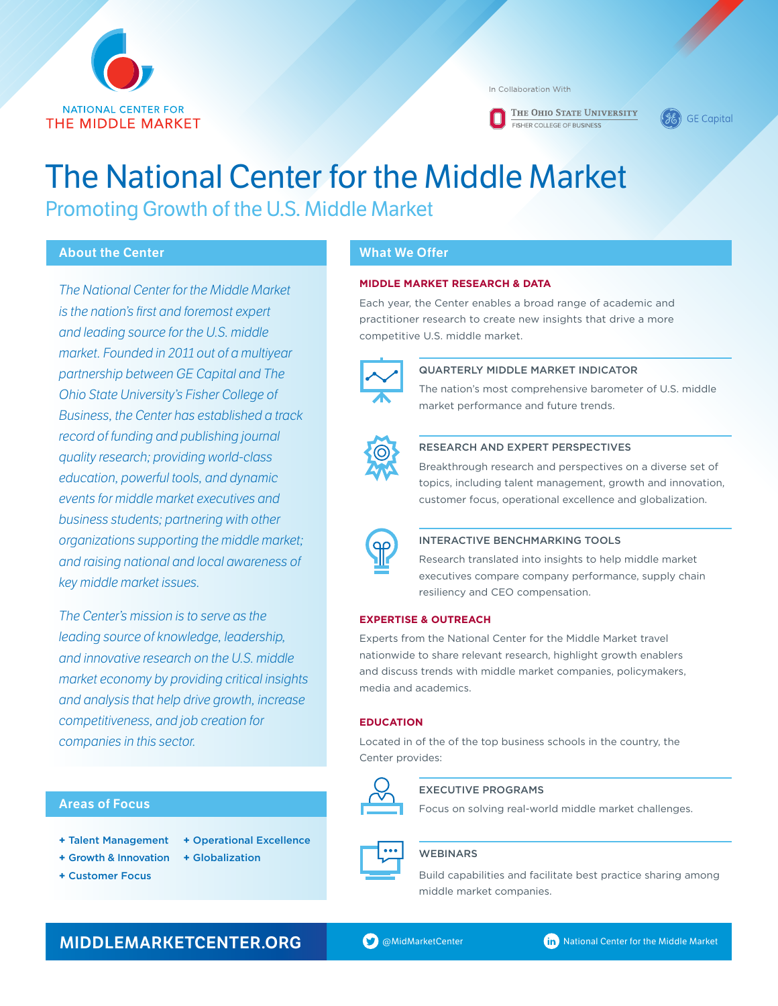

In Collaboration With

THE OHIO STATE UNIVERSITY EISHER COLLEGE OF BUSINESS

**GE Capital** 

# The National Center for the Middle Market Promoting Growth of the U.S. Middle Market

# **About the Center**

*The National Center for the Middle Market is the nation's first and foremost expert and leading source for the U.S. middle market. Founded in 2011 out of a multiyear partnership between GE Capital and The Ohio State University's Fisher College of Business, the Center has established a track record of funding and publishing journal quality research; providing world-class education, powerful tools, and dynamic events for middle market executives and business students; partnering with other organizations supporting the middle market; and raising national and local awareness of key middle market issues.*

*The Center's mission is to serve as the leading source of knowledge, leadership, and innovative research on the U.S. middle market economy by providing critical insights and analysis that help drive growth, increase competitiveness, and job creation for companies in this sector.*

# **Areas of Focus**

- **+** Talent Management **+** Growth & Innovation **+** Operational Excellence
	- **+** Globalization
- **+** Customer Focus

# **What We Offer**

#### **MIDDLE MARKET RESEARCH & DATA**

Each year, the Center enables a broad range of academic and practitioner research to create new insights that drive a more competitive U.S. middle market.



#### QUARTERLY MIDDLE MARKET INDICATOR

The nation's most comprehensive barometer of U.S. middle market performance and future trends.



#### Research and Expert Perspectives

Breakthrough research and perspectives on a diverse set of topics, including talent management, growth and innovation, customer focus, operational excellence and globalization.



#### Interactive Benchmarking Tools

Research translated into insights to help middle market executives compare company performance, supply chain resiliency and CEO compensation.

#### **EXPERTISE & OUTREACH**

Experts from the National Center for the Middle Market travel nationwide to share relevant research, highlight growth enablers and discuss trends with middle market companies, policymakers, media and academics.

#### **EDUCATION**

Located in of the of the top business schools in the country, the Center provides:



# EXECUTIVE PROGRAMS

Focus on solving real-world middle market challenges.



# **WEBINARS**

Build capabilities and facilitate best practice sharing among middle market companies.

# **MIDDLEMARKETCENTER.ORG** @MidMarketCenter National Center for the Middle Market